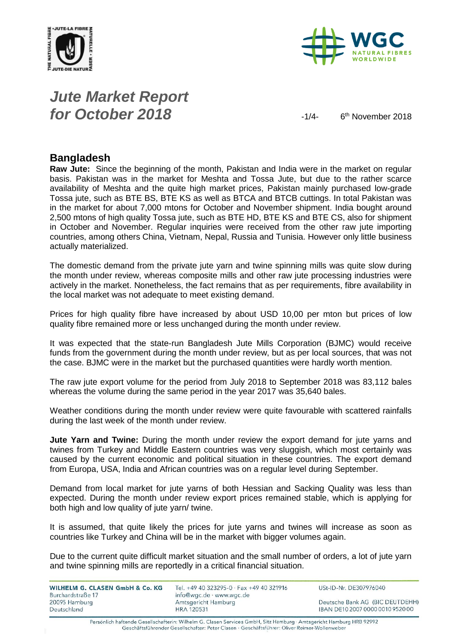



### *Jute Market Report for October 2018*  $\frac{1}{4}$

6<sup>th</sup> November 2018

#### **Bangladesh**

**Raw Jute:** Since the beginning of the month, Pakistan and India were in the market on regular basis. Pakistan was in the market for Meshta and Tossa Jute, but due to the rather scarce availability of Meshta and the quite high market prices, Pakistan mainly purchased low-grade Tossa jute, such as BTE BS, BTE KS as well as BTCA and BTCB cuttings. In total Pakistan was in the market for about 7,000 mtons for October and November shipment. India bought around 2,500 mtons of high quality Tossa jute, such as BTE HD, BTE KS and BTE CS, also for shipment in October and November. Regular inquiries were received from the other raw jute importing countries, among others China, Vietnam, Nepal, Russia and Tunisia. However only little business actually materialized.

The domestic demand from the private jute yarn and twine spinning mills was quite slow during the month under review, whereas composite mills and other raw jute processing industries were actively in the market. Nonetheless, the fact remains that as per requirements, fibre availability in the local market was not adequate to meet existing demand.

Prices for high quality fibre have increased by about USD 10,00 per mton but prices of low quality fibre remained more or less unchanged during the month under review.

It was expected that the state-run Bangladesh Jute Mills Corporation (BJMC) would receive funds from the government during the month under review, but as per local sources, that was not the case. BJMC were in the market but the purchased quantities were hardly worth mention.

The raw jute export volume for the period from July 2018 to September 2018 was 83,112 bales whereas the volume during the same period in the year 2017 was 35,640 bales.

Weather conditions during the month under review were quite favourable with scattered rainfalls during the last week of the month under review.

**Jute Yarn and Twine:** During the month under review the export demand for jute yarns and twines from Turkey and Middle Eastern countries was very sluggish, which most certainly was caused by the current economic and political situation in these countries. The export demand from Europa, USA, India and African countries was on a regular level during September.

Demand from local market for jute yarns of both Hessian and Sacking Quality was less than expected. During the month under review export prices remained stable, which is applying for both high and low quality of jute yarn/ twine.

It is assumed, that quite likely the prices for jute yarns and twines will increase as soon as countries like Turkey and China will be in the market with bigger volumes again.

Due to the current quite difficult market situation and the small number of orders, a lot of jute yarn and twine spinning mills are reportedly in a critical financial situation.

| WILHELM G. CLASEN GmbH & Co. KG | Tel. +49 40 323295-0 · Fax +49 40 321916 | USt-ID-Nr. DE307976040           |
|---------------------------------|------------------------------------------|----------------------------------|
| Burchardstraße 17               | info@wgc.de · www.wgc.de                 |                                  |
| 20095 Hamburg                   | Amtsgericht Hamburg                      | Deutsche Bank AG (BIC DEUTDEHH)  |
| Deutschland                     | <b>HRA 120531</b>                        | IBAN DE10 2007 0000 0010 9520 00 |

Persönlich haftende Gesellschafterin: Wilhelm G. Clasen Services GmbH, Sitz Hamburg · Amtsgericht Hamburg HRB 92992 Geschäftsführender Gesellschafter: Peter Clasen · Geschäftsführer: Oliver Reimer-Wollenweber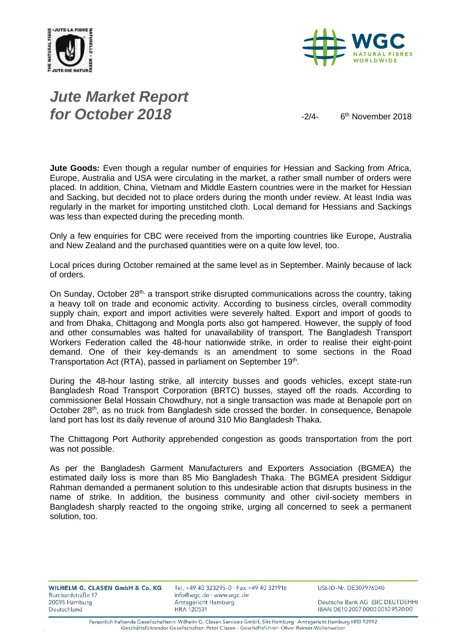



# *Jute Market Report for October 2018*  $\frac{1}{2}$

6<sup>th</sup> November 2018

**Jute Goods:** Even though a regular number of enquiries for Hessian and Sacking from Africa, Europe, Australia and USA were circulating in the market, a rather small number of orders were placed. In addition, China, Vietnam and Middle Eastern countries were in the market for Hessian and Sacking, but decided not to place orders during the month under review. At least India was regularly in the market for importing unstitched cloth. Local demand for Hessians and Sackings was less than expected during the preceding month.

Only a few enquiries for CBC were received from the importing countries like Europe, Australia and New Zealand and the purchased quantities were on a quite low level, too.

Local prices during October remained at the same level as in September. Mainly because of lack of orders.

On Sunday, October 28<sup>th,</sup> a transport strike disrupted communications across the country, taking a heavy toll on trade and economic activity. According to business circles, overall commodity supply chain, export and import activities were severely halted. Export and import of goods to and from Dhaka, Chittagong and Mongla ports also got hampered. However, the supply of food and other consumables was halted for unavailability of transport. The Bangladesh Transport Workers Federation called the 48-hour nationwide strike, in order to realise their eight-point demand. One of their key-demands is an amendment to some sections in the Road Transportation Act (RTA), passed in parliament on September 19<sup>th</sup>.

During the 48-hour lasting strike, all intercity busses and goods vehicles, except state-run Bangladesh Road Transport Corporation (BRTC) busses, stayed off the roads. According to commissioner Belal Hossain Chowdhury, not a single transaction was made at Benapole port on October  $28<sup>th</sup>$ , as no truck from Bangladesh side crossed the border. In consequence, Benapole land port has lost its daily revenue of around 310 Mio Bangladesh Thaka.

The Chittagong Port Authority apprehended congestion as goods transportation from the port was not possible.

As per the Bangladesh Garment Manufacturers and Exporters Association (BGMEA) the estimated daily loss is more than 85 Mio Bangladesh Thaka. The BGMEA president Siddigur Rahman demanded a permanent solution to this undesirable action that disrupts business in the name of strike. In addition, the business community and other civil-society members in Bangladesh sharply reacted to the ongoing strike, urging all concerned to seek a permanent solution, too.

Deutsche Bank AG (BIC DEUTDEHH) IBAN DE10 2007 0000 0010 9520 00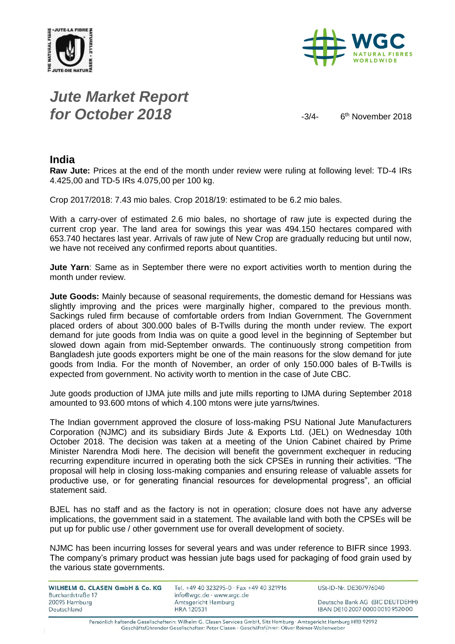



# *Jute Market Report for October 2018*  $\frac{3}{4}$

6<sup>th</sup> November 2018

#### **India**

**Raw Jute:** Prices at the end of the month under review were ruling at following level: TD-4 IRs 4.425,00 and TD-5 IRs 4.075,00 per 100 kg.

Crop 2017/2018: 7.43 mio bales. Crop 2018/19: estimated to be 6.2 mio bales.

With a carry-over of estimated 2.6 mio bales, no shortage of raw jute is expected during the current crop year. The land area for sowings this year was 494.150 hectares compared with 653.740 hectares last year. Arrivals of raw jute of New Crop are gradually reducing but until now, we have not received any confirmed reports about quantities.

**Jute Yarn**: Same as in September there were no export activities worth to mention during the month under review.

**Jute Goods:** Mainly because of seasonal requirements, the domestic demand for Hessians was slightly improving and the prices were marginally higher, compared to the previous month. Sackings ruled firm because of comfortable orders from Indian Government. The Government placed orders of about 300.000 bales of B-Twills during the month under review. The export demand for jute goods from India was on quite a good level in the beginning of September but slowed down again from mid-September onwards. The continuously strong competition from Bangladesh jute goods exporters might be one of the main reasons for the slow demand for jute goods from India. For the month of November, an order of only 150.000 bales of B-Twills is expected from government. No activity worth to mention in the case of Jute CBC.

Jute goods production of IJMA jute mills and jute mills reporting to IJMA during September 2018 amounted to 93.600 mtons of which 4.100 mtons were jute yarns/twines.

The Indian government approved the closure of loss-making PSU National Jute Manufacturers Corporation (NJMC) and its subsidiary Birds Jute & Exports Ltd. (JEL) on Wednesday 10th October 2018. The decision was taken at a meeting of the Union Cabinet chaired by Prime Minister Narendra Modi here. The decision will benefit the government exchequer in reducing recurring expenditure incurred in operating both the sick CPSEs in running their activities. "The proposal will help in closing loss-making companies and ensuring release of valuable assets for productive use, or for generating financial resources for developmental progress", an official statement said.

BJEL has no staff and as the factory is not in operation; closure does not have any adverse implications, the government said in a statement. The available land with both the CPSEs will be put up for public use / other government use for overall development of society.

NJMC has been incurring losses for several years and was under reference to BIFR since 1993. The company's primary product was hessian jute bags used for packaging of food grain used by the various state governments.

| WILHELM G. CLASEN GmbH & Co. KG | Tel. +49 40 323295-0 · Fax +49 40 321916 | USt-ID-Nr. DE307976040           |
|---------------------------------|------------------------------------------|----------------------------------|
| Burchardstraße 17               | info@wgc.de · www.wgc.de                 |                                  |
| 20095 Hamburg                   | Amtsgericht Hamburg                      | Deutsche Bank AG (BIC DEUTDEHH)  |
| Deutschland                     | HRA 120531                               | IBAN DE10 2007 0000 0010 9520 00 |

Persönlich haftende Gesellschafterin: Wilhelm G. Clasen Services GmbH, Sitz Hamburg · Amtsgericht Hamburg HRB 92992 Geschäftsführender Gesellschafter: Peter Clasen · Geschäftsführer: Oliver Reimer-Wollenweber